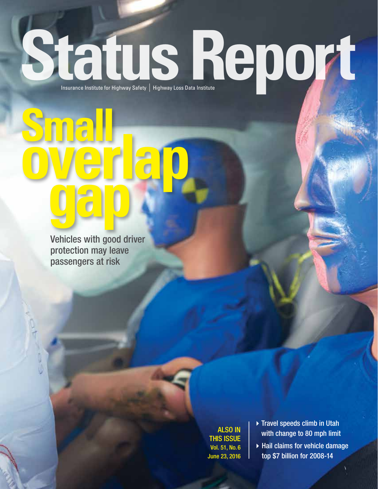# Status Report

Vehicles with good driver protection may leave passengers at risk

**gap**

**overlap Small**

ALSO IN THIS ISSUE Vol. 51, No. 6 June 23, 2016

- $\triangleright$  Travel speeds climb in Utah with change to 80 mph limit
- $\blacktriangleright$  Hail claims for vehicle damage top \$7 billion for 2008-14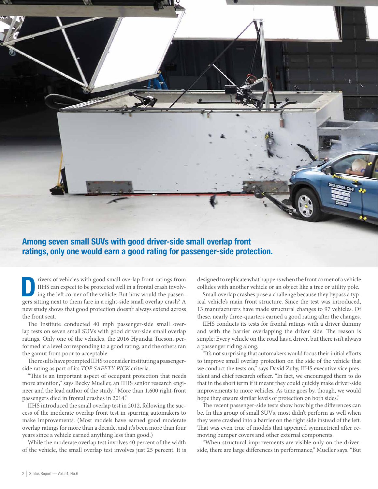

#### Among seven small SUVs with good driver-side small overlap front ratings, only one would earn a good rating for passenger-side protection.

IIHS can expect to be protected well in a frontal crash involving the left corner of the vehicle. But how would the passen-IIHS can expect to be protected well in a frontal crash involvgers sitting next to them fare in a right-side small overlap crash? A new study shows that good protection doesn't always extend across the front seat.

The Institute conducted 40 mph passenger-side small overlap tests on seven small SUVs with good driver-side small overlap ratings. Only one of the vehicles, the 2016 Hyundai Tucson, performed at a level corresponding to a good rating, and the others ran the gamut from poor to acceptable.

The results have prompted IIHS to consider instituting a passengerside rating as part of its *TOP SAFETY PICK* criteria.

"This is an important aspect of occupant protection that needs more attention," says Becky Mueller, an IIHS senior research engineer and the lead author of the study. "More than 1,600 right-front passengers died in frontal crashes in 2014."

IIHS introduced the small overlap test in 2012, following the success of the moderate overlap front test in spurring automakers to make improvements. (Most models have earned good moderate overlap ratings for more than a decade, and it's been more than four years since a vehicle earned anything less than good.)

While the moderate overlap test involves 40 percent of the width of the vehicle, the small overlap test involves just 25 percent. It is designed to replicate what happens when the front corner of a vehicle collides with another vehicle or an object like a tree or utility pole.

Small overlap crashes pose a challenge because they bypass a typical vehicle's main front structure. Since the test was introduced, 13 manufacturers have made structural changes to 97 vehicles. Of these, nearly three-quarters earned a good rating after the changes.

IIHS conducts its tests for frontal ratings with a driver dummy and with the barrier overlapping the driver side. The reason is simple: Every vehicle on the road has a driver, but there isn't always a passenger riding along.

"It's not surprising that automakers would focus their initial efforts to improve small overlap protection on the side of the vehicle that we conduct the tests on," says David Zuby, IIHS executive vice president and chief research officer. "In fact, we encouraged them to do that in the short term if it meant they could quickly make driver-side improvements to more vehicles. As time goes by, though, we would hope they ensure similar levels of protection on both sides."

The recent passenger-side tests show how big the differences can be. In this group of small SUVs, most didn't perform as well when they were crashed into a barrier on the right side instead of the left. That was even true of models that appeared symmetrical after removing bumper covers and other external components.

"When structural improvements are visible only on the driverside, there are large differences in performance," Mueller says. "But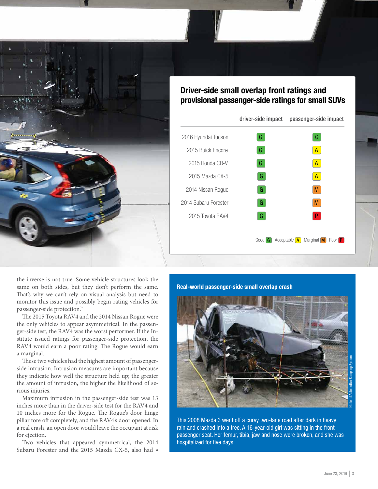

#### Driver-side small overlap front ratings and provisional passenger-side ratings for small SUVs

|                      | driver-side impact | passenger-side impact                              |
|----------------------|--------------------|----------------------------------------------------|
| 2016 Hyundai Tucson  | G                  | G.                                                 |
| 2015 Buick Encore    | G                  | $\mathsf{A}$                                       |
| 2015 Honda CR-V      | G                  | $\mathsf{A}$                                       |
| 2015 Mazda CX-5      | G.                 | $\mathsf{A}$                                       |
| 2014 Nissan Rogue    | G.                 | M                                                  |
| 2014 Subaru Forester | G.                 | M                                                  |
| 2015 Toyota RAV4     | G.                 | P.                                                 |
|                      |                    |                                                    |
|                      | Good <b>G</b>      | Marginal M<br>Acceptable $\vert A \vert$<br>Poor P |

the inverse is not true. Some vehicle structures look the same on both sides, but they don't perform the same. That's why we can't rely on visual analysis but need to monitor this issue and possibly begin rating vehicles for passenger-side protection."

The 2015 Toyota RAV4 and the 2014 Nissan Rogue were the only vehicles to appear asymmetrical. In the passenger-side test, the RAV4 was the worst performer. If the Institute issued ratings for passenger-side protection, the RAV4 would earn a poor rating. The Rogue would earn a marginal.

These two vehicles had the highest amount of passengerside intrusion. Intrusion measures are important because they indicate how well the structure held up; the greater the amount of intrusion, the higher the likelihood of serious injuries.

Maximum intrusion in the passenger-side test was 13 inches more than in the driver-side test for the RAV4 and 10 inches more for the Rogue. The Rogue's door hinge pillar tore off completely, and the RAV4's door opened. In a real crash, an open door would leave the occupant at risk for ejection.

Two vehicles that appeared symmetrical, the 2014 Subaru Forester and the 2015 Mazda CX-5, also had »

#### Real-world passenger-side small overlap crash



This 2008 Mazda 3 went off a curvy two-lane road after dark in heavy rain and crashed into a tree. A 16-year-old girl was sitting in the front passenger seat. Her femur, tibia, jaw and nose were broken, and she was hospitalized for five days.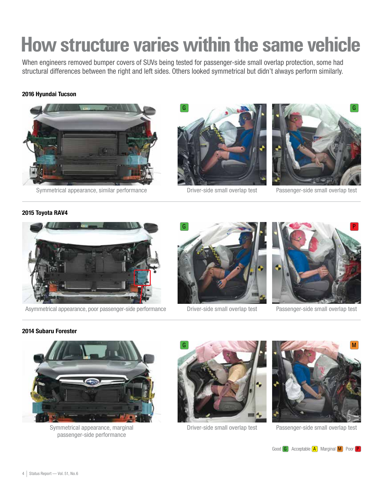## **How structure varies within the same vehicle**

When engineers removed bumper covers of SUVs being tested for passenger-side small overlap protection, some had structural differences between the right and left sides. Others looked symmetrical but didn't always perform similarly.

#### 2016 Hyundai Tucson



Symmetrical appearance, similar performance



Driver-side small overlap test



Passenger-side small overlap test

#### 2015 Toyota RAV4



Asymmetrical appearance, poor passenger-side performance



Driver-side small overlap test



Passenger-side small overlap test

#### 2014 Subaru Forester



Symmetrical appearance, marginal passenger-side performance



Driver-side small overlap test



Passenger-side small overlap test

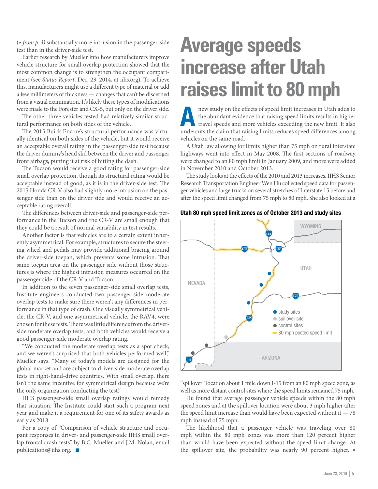(« *from p. 3)* substantially more intrusion in the passenger-side test than in the driver-side test.

Earlier research by Mueller into how manufacturers improve vehicle structure for small overlap protection showed that the most common change is to strengthen the occupant compartment (see *Status Report*, Dec. 23, 2014, at iihs.org). To achieve this, manufacturers might use a different type of material or add a few millimeters of thickness — changes that can't be discerned from a visual examination. It's likely these types of modifications were made to the Forester and CX-5, but only on the driver side.

The other three vehicles tested had relatively similar structural performance on both sides of the vehicle.

The 2015 Buick Encore's structural performance was virtually identical on both sides of the vehicle, but it would receive an acceptable overall rating in the passenger-side test because the driver dummy's head slid between the driver and passenger front airbags, putting it at risk of hitting the dash.

The Tucson would receive a good rating for passenger-side small overlap protection, though its structural rating would be acceptable instead of good, as it is in the driver-side test. The 2015 Honda CR-V also had slightly more intrusion on the passenger side than on the driver side and would receive an acceptable rating overall.

The differences between driver-side and passenger-side performance in the Tucson and the CR-V are small enough that they could be a result of normal variability in test results.

Another factor is that vehicles are to a certain extent inherently asymmetrical. For example, structures to secure the steering wheel and pedals may provide additional bracing around the driver-side toepan, which prevents some intrusion. That same toepan area on the passenger side without those structures is where the highest intrusion measures occurred on the passenger side of the CR-V and Tucson.

In addition to the seven passenger-side small overlap tests, Institute engineers conducted two passenger-side moderate overlap tests to make sure there weren't any differences in performance in that type of crash. One visually symmetrical vehicle, the CR-V, and one asymmetrical vehicle, the RAV4, were chosen for these tests. There was little difference from the driverside moderate overlap tests, and both vehicles would receive a good passenger-side moderate overlap rating.

"We conducted the moderate overlap tests as a spot check, and we weren't surprised that both vehicles performed well," Mueller says. "Many of today's models are designed for the global market and are subject to driver-side moderate overlap tests in right-hand-drive countries. With small overlap, there isn't the same incentive for symmetrical design because we're the only organization conducting the test."

IIHS passenger-side small overlap ratings would remedy that situation. The Institute could start such a program next year and make it a requirement for one of its safety awards as early as 2018.

For a copy of "Comparison of vehicle structure and occupant responses in driver- and passenger-side IIHS small overlap frontal crash tests" by B.C. Mueller and J.M. Nolan, email publications@iihs.org.  $\blacksquare$ 

## **Average speeds increase after Utah raises limit to 80 mph**

new study on the effects of speed limit increases in Utah adds to the abundant evidence that raising speed limits results in higher travel speeds and more vehicles exceeding the new limit. It also the abundant evidence that raising speed limits results in higher undercuts the claim that raising limits reduces speed differences among vehicles on the same road.

A Utah law allowing for limits higher than 75 mph on rural interstate highways went into effect in May 2008. The first sections of roadway were changed to an 80 mph limit in January 2009, and more were added in November 2010 and October 2013.

The study looks at the effects of the 2010 and 2013 increases. IIHS Senior Research Transportation Engineer Wen Hu collected speed data for passenger vehicles and large trucks on several stretches of Interstate 15 before and after the speed limit changed from 75 mph to 80 mph. She also looked at a

#### Utah 80 mph speed limit zones as of October 2013 and study sites



"spillover" location about 1 mile down I-15 from an 80 mph speed zone, as well as more distant control sites where the speed limits remained 75 mph.

Hu found that average passenger vehicle speeds within the 80 mph speed zones and at the spillover location were about 3 mph higher after the speed limit increase than would have been expected without it  $-78$ mph instead of 75 mph.

The likelihood that a passenger vehicle was traveling over 80 mph within the 80 mph zones was more than 120 percent higher than would have been expected without the speed limit change. At the spillover site, the probability was nearly 90 percent higher. »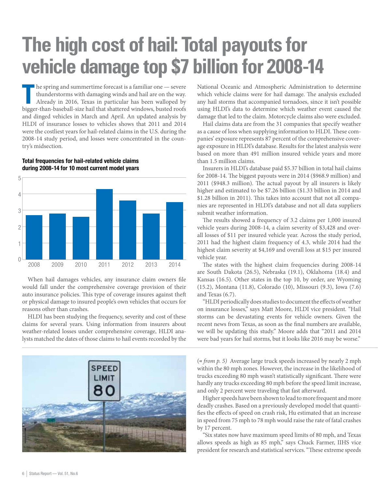## **The high cost of hail: Total payouts for vehicle damage top \$7 billion for 2008-14**

he spring and summertime forecast is a familiar one — severe thunderstorms with damaging winds and hail are on the way. Already in 2016, Texas in particular has been walloped by bigger-than-baseball-size hail that shattere he spring and summertime forecast is a familiar one — severe thunderstorms with damaging winds and hail are on the way. Already in 2016, Texas in particular has been walloped by and dinged vehicles in March and April. An updated analysis by HLDI of insurance losses to vehicles shows that 2011 and 2014 were the costliest years for hail-related claims in the U.S. during the 2008-14 study period, and losses were concentrated in the country's midsection.



Total frequencies for hail-related vehicle claims during 2008-14 for 10 most current model years

When hail damages vehicles, any insurance claim owners file would fall under the comprehensive coverage provision of their auto insurance policies. This type of coverage insures against theft or physical damage to insured people's own vehicles that occurs for reasons other than crashes.

HLDI has been studying the frequency, severity and cost of these claims for several years. Using information from insurers about weather-related losses under comprehensive coverage, HLDI analysts matched the dates of those claims to hail events recorded by the



National Oceanic and Atmospheric Administration to determine which vehicle claims were for hail damage. The analysis excluded any hail storms that accompanied tornadoes, since it isn't possible using HLDI's data to determine which weather event caused the damage that led to the claim. Motorcycle claims also were excluded.

Hail claims data are from the 31 companies that specify weather as a cause of loss when supplying information to HLDI. These companies' exposure represents 87 percent of the comprehensive coverage exposure in HLDI's database. Results for the latest analysis were based on more than 491 million insured vehicle years and more than 1.5 million claims.

Insurers in HLDI's database paid \$5.37 billion in total hail claims for 2008-14. The biggest payouts were in 2014 (\$968.9 million) and 2011 (\$948.3 million). The actual payout by all insurers is likely higher and estimated to be \$7.26 billion (\$1.33 billion in 2014 and \$1.28 billion in 2011). This takes into account that not all companies are represented in HLDI's database and not all data suppliers submit weather information.

The results showed a frequency of 3.2 claims per 1,000 insured vehicle years during 2008-14, a claim severity of \$3,428 and overall losses of \$11 per insured vehicle year. Across the study period, 2011 had the highest claim frequency of 4.3, while 2014 had the highest claim severity at \$4,169 and overall loss at \$15 per insured vehicle year.

The states with the highest claim frequencies during 2008-14 are South Dakota (26.5), Nebraska (19.1), Oklahoma (18.4) and Kansas (16.5). Other states in the top 10, by order, are Wyoming (15.2), Montana (11.8), Colorado (10), Missouri (9.3), Iowa (7.6) and Texas (6.7).

"HLDI periodically does studies to document the effects of weather on insurance losses," says Matt Moore, HLDI vice president. "Hail storms can be devastating events for vehicle owners. Given the recent news from Texas, as soon as the final numbers are available, we will be updating this study." Moore adds that "2011 and 2014 were bad years for hail storms, but it looks like 2016 may be worse."

(« *from p. 5)* Average large truck speeds increased by nearly 2 mph within the 80 mph zones. However, the increase in the likelihood of trucks exceeding 80 mph wasn't statistically significant. There were hardly any trucks exceeding 80 mph before the speed limit increase, and only 2 percent were traveling that fast afterward.

Higher speeds have been shown to lead to more frequent and more deadly crashes. Based on a previously developed model that quantifies the effects of speed on crash risk, Hu estimated that an increase in speed from 75 mph to 78 mph would raise the rate of fatal crashes by 17 percent.

"Six states now have maximum speed limits of 80 mph, and Texas allows speeds as high as 85 mph," says Chuck Farmer, IIHS vice president for research and statistical services. "These extreme speeds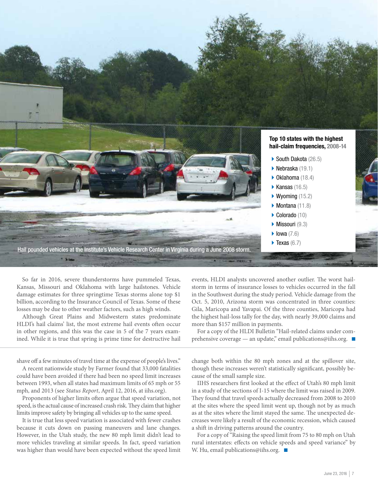

So far in 2016, severe thunderstorms have pummeled Texas, Kansas, Missouri and Oklahoma with large hailstones. Vehicle damage estimates for three springtime Texas storms alone top \$1 billion, according to the Insurance Council of Texas. Some of these losses may be due to other weather factors, such as high winds.

Although Great Plains and Midwestern states predominate HLDI's hail claims' list, the most extreme hail events often occur in other regions, and this was the case in 5 of the 7 years examined. While it is true that spring is prime time for destructive hail

shave off a few minutes of travel time at the expense of people's lives."

A recent nationwide study by Farmer found that 33,000 fatalities could have been avoided if there had been no speed limit increases between 1993, when all states had maximum limits of 65 mph or 55 mph, and 2013 (see *Status Report*, April 12, 2016, at iihs.org).

Proponents of higher limits often argue that speed variation, not speed, is the actual cause of increased crash risk. They claim that higher limits improve safety by bringing all vehicles up to the same speed.

It is true that less speed variation is associated with fewer crashes because it cuts down on passing maneuvers and lane changes. However, in the Utah study, the new 80 mph limit didn't lead to more vehicles traveling at similar speeds. In fact, speed variation was higher than would have been expected without the speed limit events, HLDI analysts uncovered another outlier. The worst hailstorm in terms of insurance losses to vehicles occurred in the fall in the Southwest during the study period. Vehicle damage from the Oct. 5, 2010, Arizona storm was concentrated in three counties: Gila, Maricopa and Yavapai. Of the three counties, Maricopa had the highest hail-loss tally for the day, with nearly 39,000 claims and more than \$157 million in payments.

For a copy of the HLDI Bulletin "Hail-related claims under comprehensive coverage — an update," email publications@iihs.org. ■

change both within the 80 mph zones and at the spillover site, though these increases weren't statistically significant, possibly because of the small sample size.

IIHS researchers first looked at the effect of Utah's 80 mph limit in a study of the sections of I-15 where the limit was raised in 2009. They found that travel speeds actually decreased from 2008 to 2010 at the sites where the speed limit went up, though not by as much as at the sites where the limit stayed the same. The unexpected decreases were likely a result of the economic recession, which caused a shift in driving patterns around the country.

For a copy of "Raising the speed limit from 75 to 80 mph on Utah rural interstates: effects on vehicle speeds and speed variance" by W. Hu, email publications@iihs.org.  $\Box$